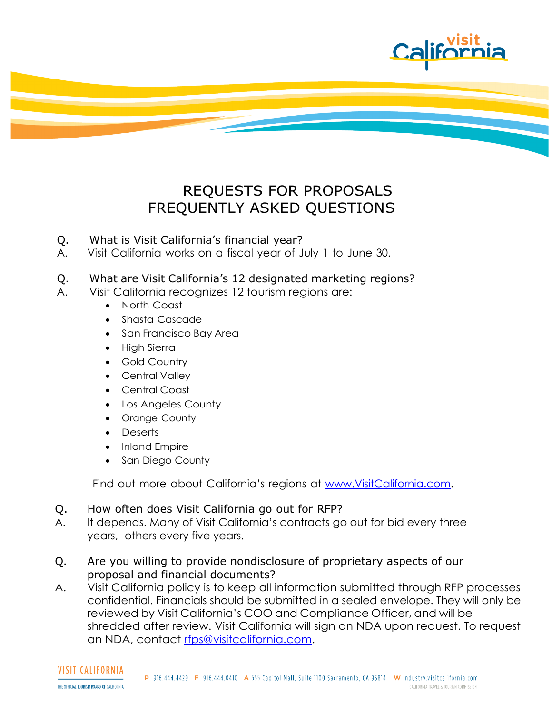

## REQUESTS FOR PROPOSALS FREQUENTLY ASKED QUESTIONS

- Q. What is Visit California's financial year?
- A. Visit California works on a fiscal year of July 1 to June 30.
- Q. What are Visit California's 12 designated marketing regions?
- A. Visit California recognizes 12 tourism regions are:
	- North Coast
	- Shasta Cascade
	- San Francisco Bay Area
	- High Sierra
	- Gold Country
	- Central Valley
	- Central Coast
	- Los Angeles County
	- Orange County
	- Deserts
	- Inland Empire
	- San Diego County

Find out more about California's regions at [www.VisitCalifornia.com.](http://www.visitcalifornia.com/)

## Q. How often does Visit California go out for RFP?

- A. It depends. Many of Visit California's contracts go out for bid every three years, others every five years.
- Q. Are you willing to provide nondisclosure of proprietary aspects of our proposal and financial documents?
- A. Visit California policy is to keep all information submitted through RFP processes confidential. Financials should be submitted in a sealed envelope. They will only be reviewed by Visit California's COO and Compliance Officer, and will be shredded after review. Visit California will sign an NDA upon request. To request an NDA, contact [rfps@visitcalifornia.com.](mailto:rfps@visitcalifornia.com)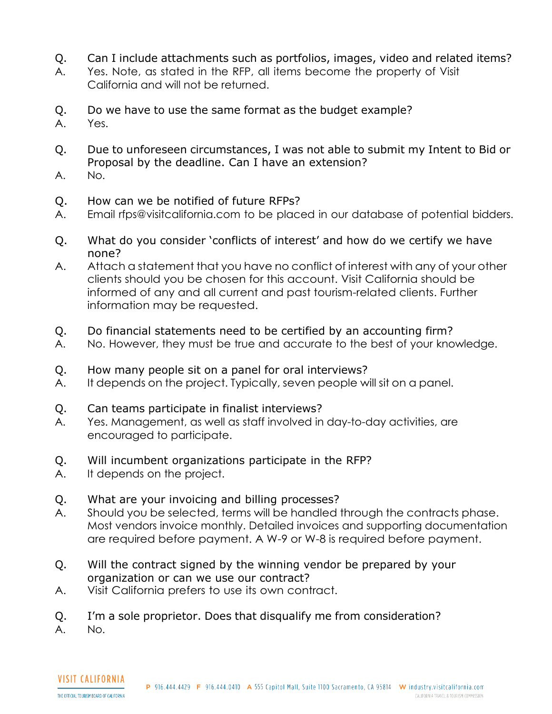- Q. Can I include attachments such as portfolios, images, video and related items?
- A. Yes. Note, as stated in the RFP, all items become the property of Visit California and will not be returned.
- Q. Do we have to use the same format as the budget example?
- A. Yes.
- Q. Due to unforeseen circumstances, I was not able to submit my Intent to Bid or Proposal by the deadline. Can I have an extension?
- A. No.
- Q. How can we be notified of future RFPs?
- A. Email [rfps@visitcalifornia.com](mailto:rfps@visitcalifornia.com) to be placed in our database of potential bidders.
- Q. What do you consider 'conflicts of interest' and how do we certify we have none?
- A. Attach a statement that you have no conflict of interest with any of your other clients should you be chosen for this account. Visit California should be informed of any and all current and past tourism-related clients. Further information may be requested.
- Q. Do financial statements need to be certified by an accounting firm?
- A. No. However, they must be true and accurate to the best of your knowledge.
- Q. How many people sit on a panel for oral interviews?
- A. It depends on the project. Typically, seven people will sit on a panel.
- Q. Can teams participate in finalist interviews?
- A. Yes. Management, as well as staff involved in day-to-day activities, are encouraged to participate.
- Q. Will incumbent organizations participate in the RFP?
- A. It depends on the project.
- Q. What are your invoicing and billing processes?
- A. Should you be selected, terms will be handled through the contracts phase. Most vendors invoice monthly. Detailed invoices and supporting documentation are required before payment. A W-9 or W-8 is required before payment.
- Q. Will the contract signed by the winning vendor be prepared by your organization or can we use our contract?
- A. Visit California prefers to use its own contract.
- Q. I'm a sole proprietor. Does that disqualify me from consideration?

A. No.

**VISIT CALIFORNIA** 

THE OFFICIAL TOURISM BOARD OF CALIFORNIA